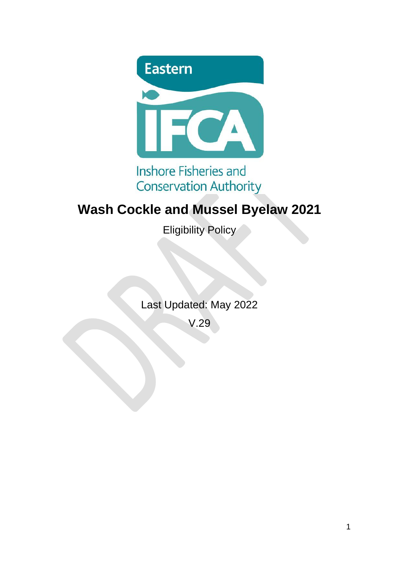

## **Inshore Fisheries and Conservation Authority**

# **Wash Cockle and Mussel Byelaw 2021**

Eligibility Policy

Last Updated: May 2022

V.29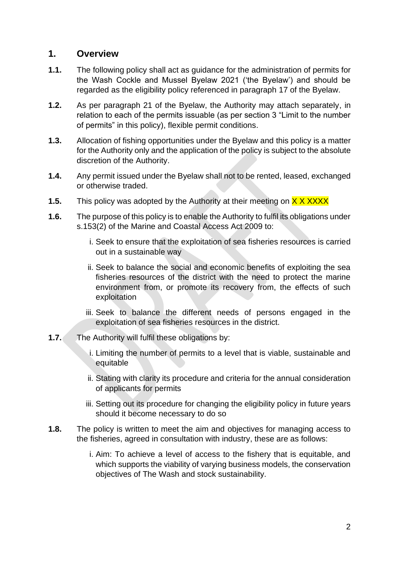#### **1. Overview**

- **1.1.** The following policy shall act as guidance for the administration of permits for the Wash Cockle and Mussel Byelaw 2021 ('the Byelaw') and should be regarded as the eligibility policy referenced in paragraph 17 of the Byelaw.
- **1.2.** As per paragraph 21 of the Byelaw, the Authority may attach separately, in relation to each of the permits issuable (as per section 3 "Limit to the number of permits" in this policy), flexible permit conditions.
- **1.3.** Allocation of fishing opportunities under the Byelaw and this policy is a matter for the Authority only and the application of the policy is subject to the absolute discretion of the Authority.
- **1.4.** Any permit issued under the Byelaw shall not to be rented, leased, exchanged or otherwise traded.
- **1.5.** This policy was adopted by the Authority at their meeting on **X X XXXX**
- **1.6.** The purpose of this policy is to enable the Authority to fulfil its obligations under s.153(2) of the Marine and Coastal Access Act 2009 to:
	- i. Seek to ensure that the exploitation of sea fisheries resources is carried out in a sustainable way
	- ii. Seek to balance the social and economic benefits of exploiting the sea fisheries resources of the district with the need to protect the marine environment from, or promote its recovery from, the effects of such exploitation
	- iii. Seek to balance the different needs of persons engaged in the exploitation of sea fisheries resources in the district.
- **1.7.** The Authority will fulfil these obligations by:
	- i. Limiting the number of permits to a level that is viable, sustainable and equitable
	- ii. Stating with clarity its procedure and criteria for the annual consideration of applicants for permits
	- iii. Setting out its procedure for changing the eligibility policy in future years should it become necessary to do so
- **1.8.** The policy is written to meet the aim and objectives for managing access to the fisheries, agreed in consultation with industry, these are as follows:
	- i. Aim: To achieve a level of access to the fishery that is equitable, and which supports the viability of varying business models, the conservation objectives of The Wash and stock sustainability.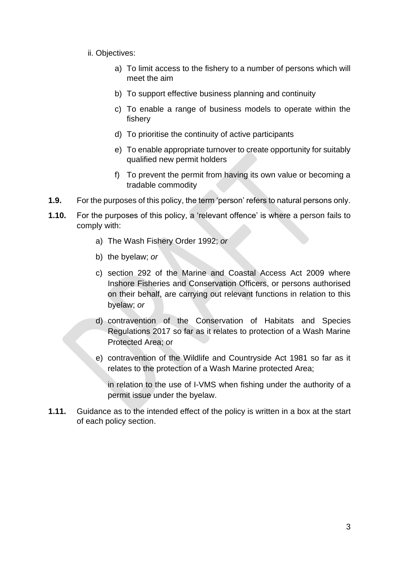- ii. Objectives:
	- a) To limit access to the fishery to a number of persons which will meet the aim
	- b) To support effective business planning and continuity
	- c) To enable a range of business models to operate within the fishery
	- d) To prioritise the continuity of active participants
	- e) To enable appropriate turnover to create opportunity for suitably qualified new permit holders
	- f) To prevent the permit from having its own value or becoming a tradable commodity
- **1.9.** For the purposes of this policy, the term 'person' refers to natural persons only.
- **1.10.** For the purposes of this policy, a 'relevant offence' is where a person fails to comply with:
	- a) The Wash Fishery Order 1992; *or*
	- b) the byelaw; *or*
	- c) section 292 of the Marine and Coastal Access Act 2009 where Inshore Fisheries and Conservation Officers, or persons authorised on their behalf, are carrying out relevant functions in relation to this byelaw; *or*
	- d) contravention of the Conservation of Habitats and Species Regulations 2017 so far as it relates to protection of a Wash Marine Protected Area; or
	- e) contravention of the Wildlife and Countryside Act 1981 so far as it relates to the protection of a Wash Marine protected Area;

in relation to the use of I-VMS when fishing under the authority of a permit issue under the byelaw.

**1.11.** Guidance as to the intended effect of the policy is written in a box at the start of each policy section.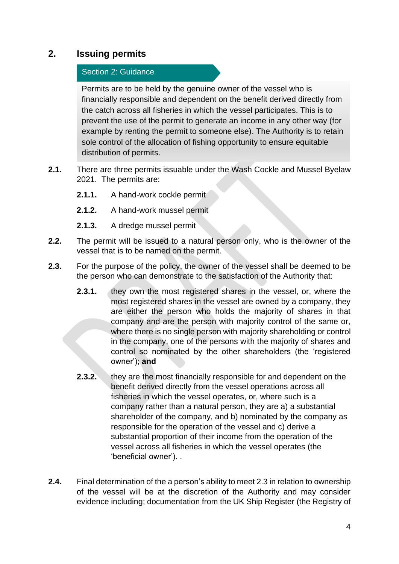## **2. Issuing permits**

#### Section 2: Guidance

Permits are to be held by the genuine owner of the vessel who is financially responsible and dependent on the benefit derived directly from the catch across all fisheries in which the vessel participates. This is to prevent the use of the permit to generate an income in any other way (for example by renting the permit to someone else). The Authority is to retain sole control of the allocation of fishing opportunity to ensure equitable distribution of permits.

- **2.1.** There are three permits issuable under the Wash Cockle and Mussel Byelaw 2021. The permits are:
	- **2.1.1.** A hand-work cockle permit
	- **2.1.2.** A hand-work mussel permit
	- **2.1.3.** A dredge mussel permit
- **2.2.** The permit will be issued to a natural person only, who is the owner of the vessel that is to be named on the permit.
- **2.3.** For the purpose of the policy, the owner of the vessel shall be deemed to be the person who can demonstrate to the satisfaction of the Authority that:
	- **2.3.1.** they own the most registered shares in the vessel, or, where the most registered shares in the vessel are owned by a company, they are either the person who holds the majority of shares in that company and are the person with majority control of the same or, where there is no single person with majority shareholding or control in the company, one of the persons with the majority of shares and control so nominated by the other shareholders (the 'registered owner'); **and**
	- **2.3.2.** they are the most financially responsible for and dependent on the benefit derived directly from the vessel operations across all fisheries in which the vessel operates, or, where such is a company rather than a natural person, they are a) a substantial shareholder of the company, and b) nominated by the company as responsible for the operation of the vessel and c) derive a substantial proportion of their income from the operation of the vessel across all fisheries in which the vessel operates (the 'beneficial owner'). .
- **2.4.** Final determination of the a person's ability to meet 2.3 in relation to ownership of the vessel will be at the discretion of the Authority and may consider evidence including; documentation from the UK Ship Register (the Registry of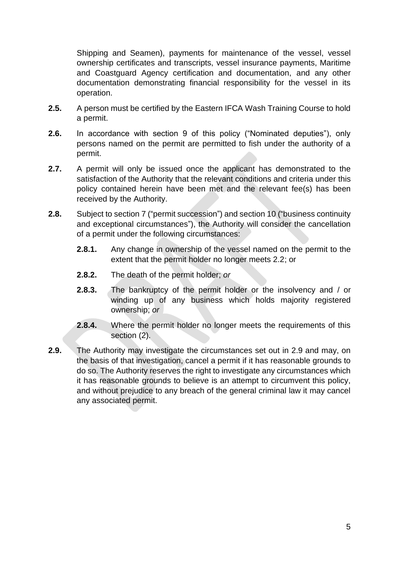Shipping and Seamen), payments for maintenance of the vessel, vessel ownership certificates and transcripts, vessel insurance payments, Maritime and Coastguard Agency certification and documentation, and any other documentation demonstrating financial responsibility for the vessel in its operation.

- **2.5.** A person must be certified by the Eastern IFCA Wash Training Course to hold a permit.
- **2.6.** In accordance with section 9 of this policy ("Nominated deputies"), only persons named on the permit are permitted to fish under the authority of a permit.
- **2.7.** A permit will only be issued once the applicant has demonstrated to the satisfaction of the Authority that the relevant conditions and criteria under this policy contained herein have been met and the relevant fee(s) has been received by the Authority.
- **2.8.** Subject to section 7 ("permit succession") and section 10 ("business continuity and exceptional circumstances"), the Authority will consider the cancellation of a permit under the following circumstances:
	- **2.8.1.** Any change in ownership of the vessel named on the permit to the extent that the permit holder no longer meets 2.2; or
	- **2.8.2.** The death of the permit holder; *or*
	- **2.8.3.** The bankruptcy of the permit holder or the insolvency and / or winding up of any business which holds majority registered ownership; *or*
	- **2.8.4.** Where the permit holder no longer meets the requirements of this section (2).
- **2.9.** The Authority may investigate the circumstances set out in 2.9 and may, on the basis of that investigation, cancel a permit if it has reasonable grounds to do so. The Authority reserves the right to investigate any circumstances which it has reasonable grounds to believe is an attempt to circumvent this policy, and without prejudice to any breach of the general criminal law it may cancel any associated permit.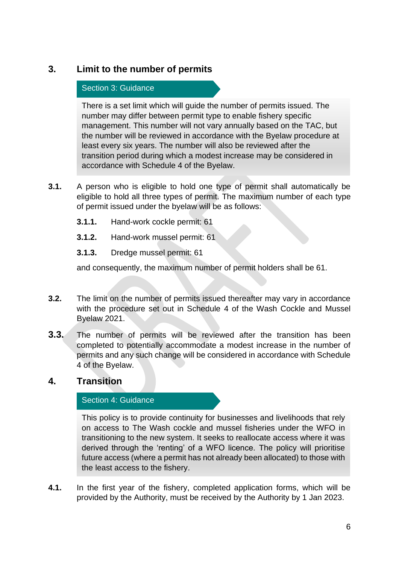## **3. Limit to the number of permits**

#### Section 3: Guidance

There is a set limit which will guide the number of permits issued. The number may differ between permit type to enable fishery specific management. This number will not vary annually based on the TAC, but the number will be reviewed in accordance with the Byelaw procedure at least every six years. The number will also be reviewed after the transition period during which a modest increase may be considered in accordance with Schedule 4 of the Byelaw.

- **3.1.** A person who is eligible to hold one type of permit shall automatically be eligible to hold all three types of permit. The maximum number of each type of permit issued under the byelaw will be as follows:
	- **3.1.1.** Hand-work cockle permit: 61
	- **3.1.2.** Hand-work mussel permit: 61
	- **3.1.3.** Dredge mussel permit: 61

and consequently, the maximum number of permit holders shall be 61.

- **3.2.** The limit on the number of permits issued thereafter may vary in accordance with the procedure set out in Schedule 4 of the Wash Cockle and Mussel Byelaw 2021.
- **3.3.** The number of permits will be reviewed after the transition has been completed to potentially accommodate a modest increase in the number of permits and any such change will be considered in accordance with Schedule 4 of the Byelaw.

## **4. Transition**

#### Section 4: Guidance

This policy is to provide continuity for businesses and livelihoods that rely on access to The Wash cockle and mussel fisheries under the WFO in transitioning to the new system. It seeks to reallocate access where it was derived through the 'renting' of a WFO licence. The policy will prioritise future access (where a permit has not already been allocated) to those with the least access to the fishery.

**4.1.** In the first year of the fishery, completed application forms, which will be provided by the Authority, must be received by the Authority by 1 Jan 2023.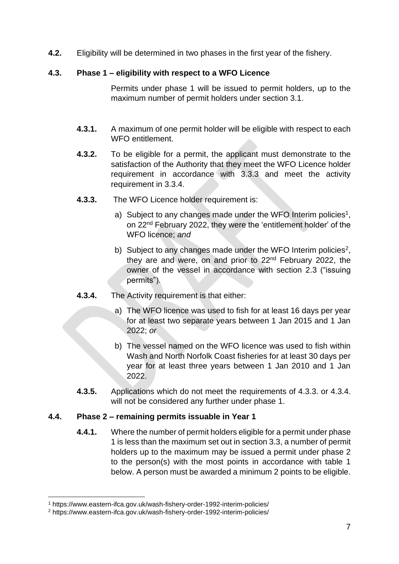**4.2.** Eligibility will be determined in two phases in the first year of the fishery.

#### **4.3. Phase 1 – eligibility with respect to a WFO Licence**

Permits under phase 1 will be issued to permit holders, up to the maximum number of permit holders under section 3.1.

- **4.3.1.** A maximum of one permit holder will be eligible with respect to each WFO entitlement.
- **4.3.2.** To be eligible for a permit, the applicant must demonstrate to the satisfaction of the Authority that they meet the WFO Licence holder requirement in accordance with 3.3.3 and meet the activity requirement in 3.3.4.
- **4.3.3.** The WFO Licence holder requirement is:
	- a) Subject to any changes made under the WFO Interim policies<sup>1</sup>, on 22nd February 2022, they were the 'entitlement holder' of the WFO licence; *and*
	- b) Subject to any changes made under the WFO Interim policies<sup>2</sup>, they are and were, on and prior to 22nd February 2022, the owner of the vessel in accordance with section 2.3 ("issuing permits").
- **4.3.4.** The Activity requirement is that either:
	- a) The WFO licence was used to fish for at least 16 days per year for at least two separate years between 1 Jan 2015 and 1 Jan 2022; *or*
	- b) The vessel named on the WFO licence was used to fish within Wash and North Norfolk Coast fisheries for at least 30 days per year for at least three years between 1 Jan 2010 and 1 Jan 2022.
- **4.3.5.** Applications which do not meet the requirements of 4.3.3. or 4.3.4. will not be considered any further under phase 1.

#### **4.4. Phase 2 – remaining permits issuable in Year 1**

**4.4.1.** Where the number of permit holders eligible for a permit under phase 1 is less than the maximum set out in section 3.3, a number of permit holders up to the maximum may be issued a permit under phase 2 to the person(s) with the most points in accordance with table 1 below. A person must be awarded a minimum 2 points to be eligible.

<sup>1</sup> https://www.eastern-ifca.gov.uk/wash-fishery-order-1992-interim-policies/

<sup>2</sup> https://www.eastern-ifca.gov.uk/wash-fishery-order-1992-interim-policies/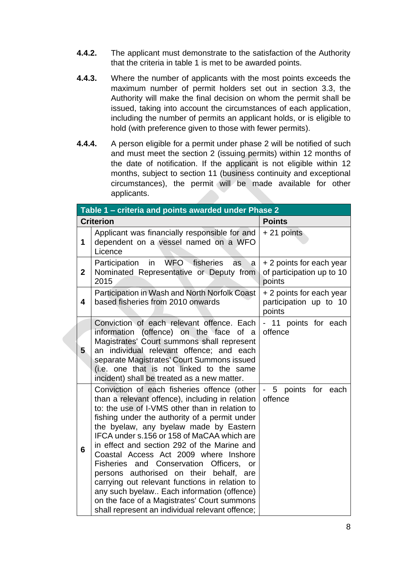- **4.4.2.** The applicant must demonstrate to the satisfaction of the Authority that the criteria in table 1 is met to be awarded points.
- **4.4.3.** Where the number of applicants with the most points exceeds the maximum number of permit holders set out in section 3.3, the Authority will make the final decision on whom the permit shall be issued, taking into account the circumstances of each application, including the number of permits an applicant holds, or is eligible to hold (with preference given to those with fewer permits).
- **4.4.4.** A person eligible for a permit under phase 2 will be notified of such and must meet the section 2 (issuing permits) within 12 months of the date of notification. If the applicant is not eligible within 12 months, subject to section 11 (business continuity and exceptional circumstances), the permit will be made available for other applicants.

| Table 1 - criteria and points awarded under Phase 2 |                                                                                                                                                                                                                                                                                                                                                                                                                                                                                                                                                                                                                                                                              |                                                                 |  |  |
|-----------------------------------------------------|------------------------------------------------------------------------------------------------------------------------------------------------------------------------------------------------------------------------------------------------------------------------------------------------------------------------------------------------------------------------------------------------------------------------------------------------------------------------------------------------------------------------------------------------------------------------------------------------------------------------------------------------------------------------------|-----------------------------------------------------------------|--|--|
| <b>Criterion</b>                                    |                                                                                                                                                                                                                                                                                                                                                                                                                                                                                                                                                                                                                                                                              | <b>Points</b>                                                   |  |  |
| 1                                                   | Applicant was financially responsible for and<br>dependent on a vessel named on a WFO<br>Licence                                                                                                                                                                                                                                                                                                                                                                                                                                                                                                                                                                             | $+21$ points                                                    |  |  |
| $\overline{2}$                                      | <b>WFO</b><br>fisheries<br>Participation<br>in<br>as<br>a<br>Nominated Representative or Deputy from<br>2015                                                                                                                                                                                                                                                                                                                                                                                                                                                                                                                                                                 | + 2 points for each year<br>of participation up to 10<br>points |  |  |
| 4                                                   | Participation in Wash and North Norfolk Coast<br>based fisheries from 2010 onwards                                                                                                                                                                                                                                                                                                                                                                                                                                                                                                                                                                                           | + 2 points for each year<br>participation up to 10<br>points    |  |  |
| 5                                                   | Conviction of each relevant offence. Each<br>information (offence) on the face<br>of a<br>Magistrates' Court summons shall represent<br>an individual relevant offence; and each<br>separate Magistrates' Court Summons issued<br>(i.e. one that is not linked to the same<br>incident) shall be treated as a new matter.                                                                                                                                                                                                                                                                                                                                                    | - 11 points for each<br>offence                                 |  |  |
| 6                                                   | Conviction of each fisheries offence (other<br>than a relevant offence), including in relation<br>to: the use of I-VMS other than in relation to<br>fishing under the authority of a permit under<br>the byelaw, any byelaw made by Eastern<br>IFCA under s.156 or 158 of MaCAA which are<br>in effect and section 292 of the Marine and<br>Coastal Access Act 2009 where Inshore<br>Fisheries and Conservation Officers,<br>or<br>persons authorised on their behalf, are<br>carrying out relevant functions in relation to<br>any such byelaw Each information (offence)<br>on the face of a Magistrates' Court summons<br>shall represent an individual relevant offence; | points for each<br>$5\phantom{.0}$<br>offence                   |  |  |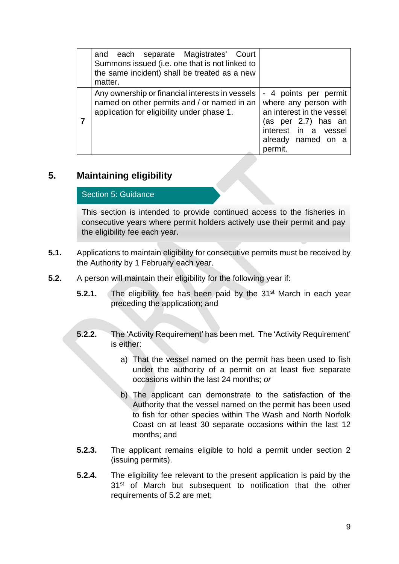| and each separate Magistrates' Court<br>Summons issued (i.e. one that is not linked to<br>the same incident) shall be treated as a new<br>matter. |                                                                                                                                                             |
|---------------------------------------------------------------------------------------------------------------------------------------------------|-------------------------------------------------------------------------------------------------------------------------------------------------------------|
| Any ownership or financial interests in vessels<br>named on other permits and / or named in an<br>application for eligibility under phase 1.      | - 4 points per permit<br>where any person with<br>an interest in the vessel<br>(as per 2.7) has an<br>interest in a vessel<br>already named on a<br>permit. |

## **5. Maintaining eligibility**

#### Section 5: Guidance

This section is intended to provide continued access to the fisheries in consecutive years where permit holders actively use their permit and pay the eligibility fee each year.

- **5.1.** Applications to maintain eligibility for consecutive permits must be received by the Authority by 1 February each year.
- **5.2.** A person will maintain their eligibility for the following year if:
	- **5.2.1.** The eligibility fee has been paid by the 31<sup>st</sup> March in each year preceding the application; and
	- **5.2.2.** The 'Activity Requirement' has been met. The 'Activity Requirement' is either:
		- a) That the vessel named on the permit has been used to fish under the authority of a permit on at least five separate occasions within the last 24 months; *or*
		- b) The applicant can demonstrate to the satisfaction of the Authority that the vessel named on the permit has been used to fish for other species within The Wash and North Norfolk Coast on at least 30 separate occasions within the last 12 months; and
	- **5.2.3.** The applicant remains eligible to hold a permit under section 2 (issuing permits).
	- **5.2.4.** The eligibility fee relevant to the present application is paid by the 31<sup>st</sup> of March but subsequent to notification that the other requirements of 5.2 are met;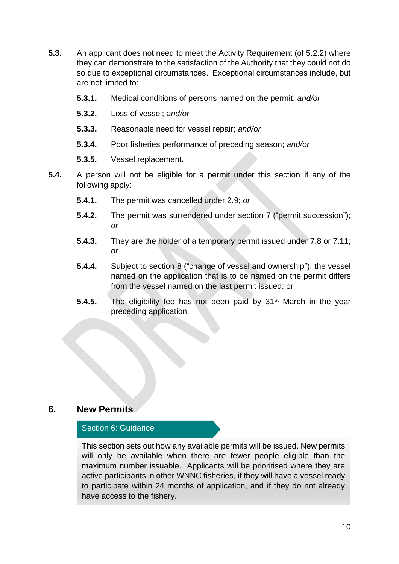- **5.3.** An applicant does not need to meet the Activity Requirement (of 5.2.2) where they can demonstrate to the satisfaction of the Authority that they could not do so due to exceptional circumstances. Exceptional circumstances include, but are not limited to:
	- **5.3.1.** Medical conditions of persons named on the permit; *and/or*
	- **5.3.2.** Loss of vessel; *and/or*
	- **5.3.3.** Reasonable need for vessel repair; *and/or*
	- **5.3.4.** Poor fisheries performance of preceding season; *and/or*
	- **5.3.5.** Vessel replacement.
- **5.4.** A person will not be eligible for a permit under this section if any of the following apply:
	- **5.4.1.** The permit was cancelled under 2.9; *or*
	- **5.4.2.** The permit was surrendered under section 7 ("permit succession"); *or*
	- **5.4.3.** They are the holder of a temporary permit issued under 7.8 or 7.11; *or*
	- **5.4.4.** Subject to section 8 ("change of vessel and ownership"), the vessel named on the application that is to be named on the permit differs from the vessel named on the last permit issued; or
	- **5.4.5.** The eligibility fee has not been paid by 31<sup>st</sup> March in the year preceding application.

## **6. New Permits**

#### Section 6: Guidance

This section sets out how any available permits will be issued. New permits will only be available when there are fewer people eligible than the maximum number issuable. Applicants will be prioritised where they are active participants in other WNNC fisheries, if they will have a vessel ready to participate within 24 months of application, and if they do not already have access to the fishery.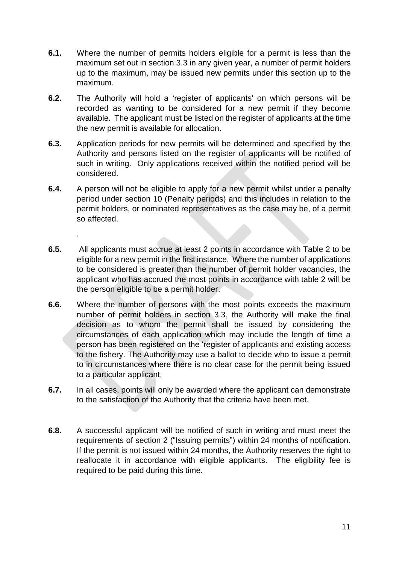- **6.1.** Where the number of permits holders eligible for a permit is less than the maximum set out in section 3.3 in any given year, a number of permit holders up to the maximum, may be issued new permits under this section up to the maximum.
- **6.2.** The Authority will hold a 'register of applicants' on which persons will be recorded as wanting to be considered for a new permit if they become available. The applicant must be listed on the register of applicants at the time the new permit is available for allocation.
- **6.3.** Application periods for new permits will be determined and specified by the Authority and persons listed on the register of applicants will be notified of such in writing. Only applications received within the notified period will be considered.
- **6.4.** A person will not be eligible to apply for a new permit whilst under a penalty period under section 10 (Penalty periods) and this includes in relation to the permit holders, or nominated representatives as the case may be, of a permit so affected.

.

- **6.5.** All applicants must accrue at least 2 points in accordance with Table 2 to be eligible for a new permit in the first instance. Where the number of applications to be considered is greater than the number of permit holder vacancies, the applicant who has accrued the most points in accordance with table 2 will be the person eligible to be a permit holder.
- **6.6.** Where the number of persons with the most points exceeds the maximum number of permit holders in section 3.3, the Authority will make the final decision as to whom the permit shall be issued by considering the circumstances of each application which may include the length of time a person has been registered on the 'register of applicants and existing access to the fishery. The Authority may use a ballot to decide who to issue a permit to in circumstances where there is no clear case for the permit being issued to a particular applicant.
- **6.7.** In all cases, points will only be awarded where the applicant can demonstrate to the satisfaction of the Authority that the criteria have been met.
- **6.8.** A successful applicant will be notified of such in writing and must meet the requirements of section 2 ("Issuing permits") within 24 months of notification. If the permit is not issued within 24 months, the Authority reserves the right to reallocate it in accordance with eligible applicants. The eligibility fee is required to be paid during this time.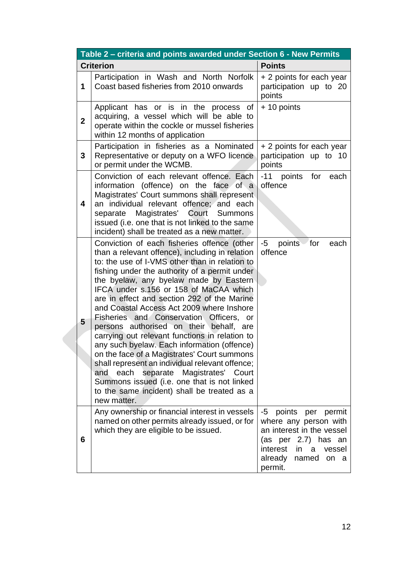| Table 2 - criteria and points awarded under Section 6 - New Permits |                                                                                                                                                                                                                                                                                                                                                                                                                                                                                                                                                                                                                                                                                                                                                                                                                                    |                                                                                                                                                                                     |  |  |
|---------------------------------------------------------------------|------------------------------------------------------------------------------------------------------------------------------------------------------------------------------------------------------------------------------------------------------------------------------------------------------------------------------------------------------------------------------------------------------------------------------------------------------------------------------------------------------------------------------------------------------------------------------------------------------------------------------------------------------------------------------------------------------------------------------------------------------------------------------------------------------------------------------------|-------------------------------------------------------------------------------------------------------------------------------------------------------------------------------------|--|--|
| <b>Criterion</b>                                                    |                                                                                                                                                                                                                                                                                                                                                                                                                                                                                                                                                                                                                                                                                                                                                                                                                                    | <b>Points</b>                                                                                                                                                                       |  |  |
| 1                                                                   | Participation in Wash and North Norfolk<br>Coast based fisheries from 2010 onwards                                                                                                                                                                                                                                                                                                                                                                                                                                                                                                                                                                                                                                                                                                                                                 | + 2 points for each year<br>participation up to 20<br>points                                                                                                                        |  |  |
| $\overline{2}$                                                      | Applicant has or is in the process of<br>acquiring, a vessel which will be able to<br>operate within the cockle or mussel fisheries<br>within 12 months of application                                                                                                                                                                                                                                                                                                                                                                                                                                                                                                                                                                                                                                                             | + 10 points                                                                                                                                                                         |  |  |
| 3                                                                   | Participation in fisheries as a Nominated<br>Representative or deputy on a WFO licence<br>or permit under the WCMB.                                                                                                                                                                                                                                                                                                                                                                                                                                                                                                                                                                                                                                                                                                                | + 2 points for each year<br>participation up to 10<br>points                                                                                                                        |  |  |
| 4                                                                   | Conviction of each relevant offence. Each<br>information (offence) on the face of a<br>Magistrates' Court summons shall represent<br>an individual relevant offence; and each<br>separate Magistrates' Court Summons<br>issued (i.e. one that is not linked to the same<br>incident) shall be treated as a new matter.                                                                                                                                                                                                                                                                                                                                                                                                                                                                                                             | -11 points for<br>each<br>offence                                                                                                                                                   |  |  |
| 5                                                                   | Conviction of each fisheries offence (other<br>than a relevant offence), including in relation<br>to: the use of I-VMS other than in relation to<br>fishing under the authority of a permit under<br>the byelaw, any byelaw made by Eastern<br>IFCA under s.156 or 158 of MaCAA which<br>are in effect and section 292 of the Marine<br>and Coastal Access Act 2009 where Inshore<br>Fisheries and Conservation Officers, or<br>persons authorised on their behalf, are<br>carrying out relevant functions in relation to<br>any such byelaw. Each information (offence)<br>on the face of a Magistrates' Court summons<br>shall represent an individual relevant offence;<br>each separate Magistrates' Court<br>and<br>Summons issued (i.e. one that is not linked<br>to the same incident) shall be treated as a<br>new matter. | for<br>-5<br>points<br>each<br>offence                                                                                                                                              |  |  |
| 6                                                                   | Any ownership or financial interest in vessels<br>named on other permits already issued, or for<br>which they are eligible to be issued.                                                                                                                                                                                                                                                                                                                                                                                                                                                                                                                                                                                                                                                                                           | points<br>per<br>permit<br>-5<br>where any person with<br>an interest in the vessel<br>(as per 2.7) has an<br>interest<br>vessel<br>in.<br>a<br>already<br>named<br>on a<br>permit. |  |  |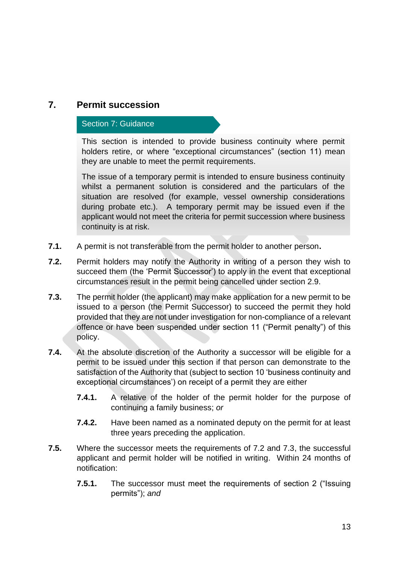## **7. Permit succession**

#### Section 7: Guidance

This section is intended to provide business continuity where permit holders retire, or where "exceptional circumstances" (section 11) mean they are unable to meet the permit requirements.

The issue of a temporary permit is intended to ensure business continuity whilst a permanent solution is considered and the particulars of the situation are resolved (for example, vessel ownership considerations during probate etc.). A temporary permit may be issued even if the applicant would not meet the criteria for permit succession where business continuity is at risk.

- **7.1.** A permit is not transferable from the permit holder to another person**.**
- **7.2.** Permit holders may notify the Authority in writing of a person they wish to succeed them (the 'Permit Successor') to apply in the event that exceptional circumstances result in the permit being cancelled under section 2.9.
- **7.3.** The permit holder (the applicant) may make application for a new permit to be issued to a person (the Permit Successor) to succeed the permit they hold provided that they are not under investigation for non-compliance of a relevant offence or have been suspended under section 11 ("Permit penalty") of this policy.
- **7.4.** At the absolute discretion of the Authority a successor will be eligible for a permit to be issued under this section if that person can demonstrate to the satisfaction of the Authority that (subject to section 10 'business continuity and exceptional circumstances') on receipt of a permit they are either
	- **7.4.1.** A relative of the holder of the permit holder for the purpose of continuing a family business; *or*
	- **7.4.2.** Have been named as a nominated deputy on the permit for at least three years preceding the application.
- **7.5.** Where the successor meets the requirements of 7.2 and 7.3, the successful applicant and permit holder will be notified in writing. Within 24 months of notification:
	- **7.5.1.** The successor must meet the requirements of section 2 ("Issuing permits"); *and*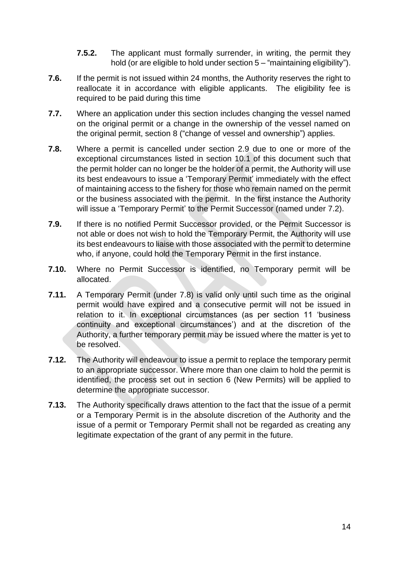- **7.5.2.** The applicant must formally surrender, in writing, the permit they hold (or are eligible to hold under section 5 – "maintaining eligibility").
- **7.6.** If the permit is not issued within 24 months, the Authority reserves the right to reallocate it in accordance with eligible applicants. The eligibility fee is required to be paid during this time
- **7.7.** Where an application under this section includes changing the vessel named on the original permit or a change in the ownership of the vessel named on the original permit, section 8 ("change of vessel and ownership") applies.
- **7.8.** Where a permit is cancelled under section 2.9 due to one or more of the exceptional circumstances listed in section 10.1 of this document such that the permit holder can no longer be the holder of a permit, the Authority will use its best endeavours to issue a 'Temporary Permit' immediately with the effect of maintaining access to the fishery for those who remain named on the permit or the business associated with the permit. In the first instance the Authority will issue a 'Temporary Permit' to the Permit Successor (named under 7.2).
- **7.9.** If there is no notified Permit Successor provided, or the Permit Successor is not able or does not wish to hold the Temporary Permit, the Authority will use its best endeavours to liaise with those associated with the permit to determine who, if anyone, could hold the Temporary Permit in the first instance.
- **7.10.** Where no Permit Successor is identified, no Temporary permit will be allocated.
- **7.11.** A Temporary Permit (under 7.8) is valid only until such time as the original permit would have expired and a consecutive permit will not be issued in relation to it. In exceptional circumstances (as per section 11 'business continuity and exceptional circumstances') and at the discretion of the Authority, a further temporary permit may be issued where the matter is yet to be resolved.
- **7.12.** The Authority will endeavour to issue a permit to replace the temporary permit to an appropriate successor. Where more than one claim to hold the permit is identified, the process set out in section 6 (New Permits) will be applied to determine the appropriate successor.
- **7.13.** The Authority specifically draws attention to the fact that the issue of a permit or a Temporary Permit is in the absolute discretion of the Authority and the issue of a permit or Temporary Permit shall not be regarded as creating any legitimate expectation of the grant of any permit in the future.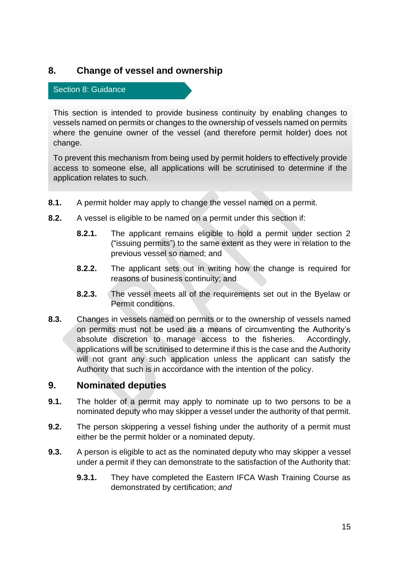## **8. Change of vessel and ownership**

#### Section 8: Guidance

This section is intended to provide business continuity by enabling changes to vessels named on permits or changes to the ownership of vessels named on permits where the genuine owner of the vessel (and therefore permit holder) does not change.

To prevent this mechanism from being used by permit holders to effectively provide access to someone else, all applications will be scrutinised to determine if the application relates to such.

- **8.1.** A permit holder may apply to change the vessel named on a permit.
- **8.2.** A vessel is eligible to be named on a permit under this section if:
	- **8.2.1.** The applicant remains eligible to hold a permit under section 2 ("issuing permits") to the same extent as they were in relation to the previous vessel so named; and
	- **8.2.2.** The applicant sets out in writing how the change is required for reasons of business continuity; and
	- **8.2.3.** The vessel meets all of the requirements set out in the Byelaw or Permit conditions.
- **8.3.** Changes in vessels named on permits or to the ownership of vessels named on permits must not be used as a means of circumventing the Authority's absolute discretion to manage access to the fisheries. Accordingly, applications will be scrutinised to determine if this is the case and the Authority will not grant any such application unless the applicant can satisfy the Authority that such is in accordance with the intention of the policy.

## **9. Nominated deputies**

- **9.1.** The holder of a permit may apply to nominate up to two persons to be a nominated deputy who may skipper a vessel under the authority of that permit.
- **9.2.** The person skippering a vessel fishing under the authority of a permit must either be the permit holder or a nominated deputy.
- **9.3.** A person is eligible to act as the nominated deputy who may skipper a vessel under a permit if they can demonstrate to the satisfaction of the Authority that:
	- **9.3.1.** They have completed the Eastern IFCA Wash Training Course as demonstrated by certification; *and*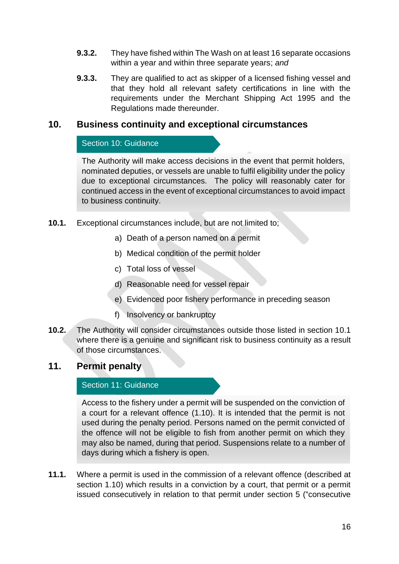- **9.3.2.** They have fished within The Wash on at least 16 separate occasions within a year and within three separate years; *and*
- **9.3.3.** They are qualified to act as skipper of a licensed fishing vessel and that they hold all relevant safety certifications in line with the requirements under the Merchant Shipping Act 1995 and the Regulations made thereunder.

## **10. Business continuity and exceptional circumstances**

#### Section 10: Guidance

The Authority will make access decisions in the event that permit holders, nominated deputies, or vessels are unable to fulfil eligibility under the policy due to exceptional circumstances. The policy will reasonably cater for continued access in the event of exceptional circumstances to avoid impact to business continuity.

- **10.1.** Exceptional circumstances include, but are not limited to;
	- a) Death of a person named on a permit
	- b) Medical condition of the permit holder
	- c) Total loss of vessel
	- d) Reasonable need for vessel repair
	- e) Evidenced poor fishery performance in preceding season
	- f) Insolvency or bankruptcy
- **10.2.** The Authority will consider circumstances outside those listed in section 10.1 where there is a genuine and significant risk to business continuity as a result of those circumstances.

## **11. Permit penalty**

#### Section 11: Guidance

Access to the fishery under a permit will be suspended on the conviction of a court for a relevant offence (1.10). It is intended that the permit is not used during the penalty period. Persons named on the permit convicted of the offence will not be eligible to fish from another permit on which they may also be named, during that period. Suspensions relate to a number of days during which a fishery is open.

**11.1.** Where a permit is used in the commission of a relevant offence (described at section 1.10) which results in a conviction by a court, that permit or a permit issued consecutively in relation to that permit under section 5 ("consecutive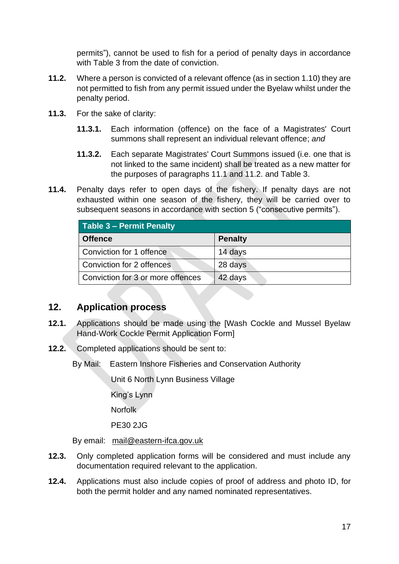permits"), cannot be used to fish for a period of penalty days in accordance with Table 3 from the date of conviction.

- **11.2.** Where a person is convicted of a relevant offence (as in section 1.10) they are not permitted to fish from any permit issued under the Byelaw whilst under the penalty period.
- **11.3.** For the sake of clarity:
	- **11.3.1.** Each information (offence) on the face of a Magistrates' Court summons shall represent an individual relevant offence; *and*
	- **11.3.2.** Each separate Magistrates' Court Summons issued (i.e. one that is not linked to the same incident) shall be treated as a new matter for the purposes of paragraphs 11.1 and 11.2. and Table 3.
- **11.4.** Penalty days refer to open days of the fishery. If penalty days are not exhausted within one season of the fishery, they will be carried over to subsequent seasons in accordance with section 5 ("consecutive permits").

| Table 3 - Permit Penalty          |                |  |  |  |
|-----------------------------------|----------------|--|--|--|
| <b>Offence</b>                    | <b>Penalty</b> |  |  |  |
| Conviction for 1 offence          | 14 days        |  |  |  |
| Conviction for 2 offences         | 28 days        |  |  |  |
| Conviction for 3 or more offences | 42 days        |  |  |  |

## **12. Application process**

- **12.1.** Applications should be made using the [Wash Cockle and Mussel Byelaw Hand-Work Cockle Permit Application Form]
- **12.2.** Completed applications should be sent to:

By Mail: Eastern Inshore Fisheries and Conservation Authority

Unit 6 North Lynn Business Village

King's Lynn

Norfolk

PE30 2JG

By email: [mail@eastern-ifca.gov.uk](mailto:mail@eastern-ifca.gov.uk) 

- **12.3.** Only completed application forms will be considered and must include any documentation required relevant to the application.
- **12.4.** Applications must also include copies of proof of address and photo ID, for both the permit holder and any named nominated representatives.